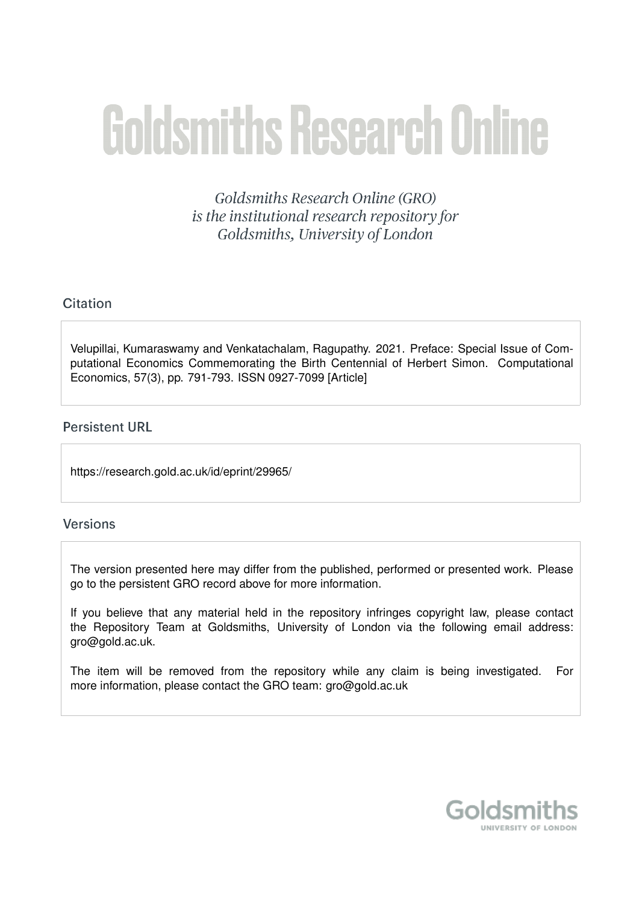# **Goldsmiths Research Online**

Goldsmiths Research Online (GRO) is the institutional research repository for Goldsmiths, University of London

## Citation

Velupillai, Kumaraswamy and Venkatachalam, Ragupathy. 2021. Preface: Special Issue of Computational Economics Commemorating the Birth Centennial of Herbert Simon. Computational Economics, 57(3), pp. 791-793. ISSN 0927-7099 [Article]

## **Persistent URL**

https://research.gold.ac.uk/id/eprint/29965/

### **Versions**

The version presented here may differ from the published, performed or presented work. Please go to the persistent GRO record above for more information.

If you believe that any material held in the repository infringes copyright law, please contact the Repository Team at Goldsmiths, University of London via the following email address: gro@gold.ac.uk.

The item will be removed from the repository while any claim is being investigated. For more information, please contact the GRO team: gro@gold.ac.uk

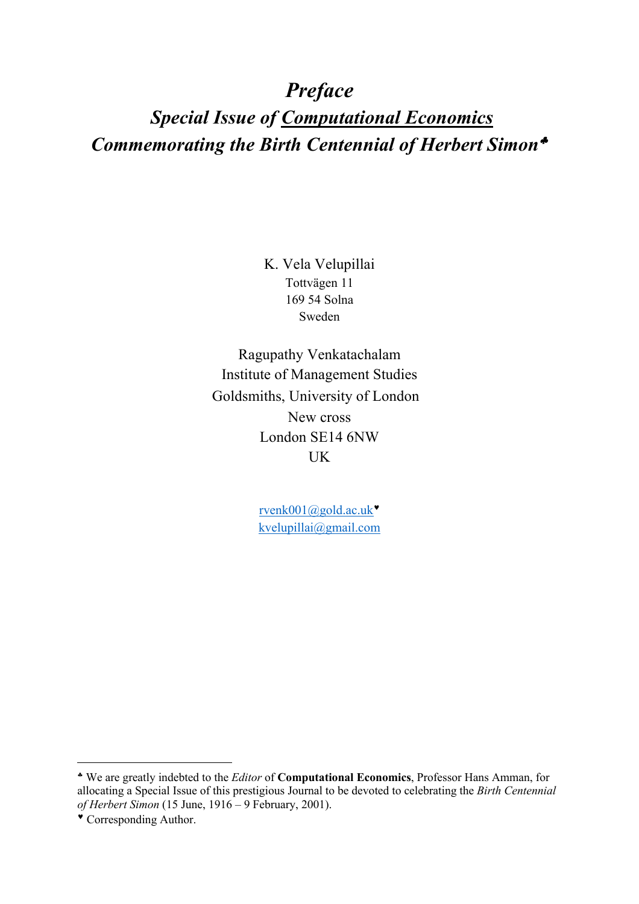## *Preface*

## *Special Issue of Computational Economics Commemorating the Birth Centennial of Herbert Simon*§

K. Vela Velupillai Tottvägen 11 169 54 Solna Sweden

Ragupathy Venkatachalam Institute of Management Studies Goldsmiths, University of London New cross London SE14 6NW UK

> rvenk $001$ @gold.ac.uk kvelupillai@gmail.com

<sup>§</sup> We are greatly indebted to the *Editor* of **Computational Economics**, Professor Hans Amman, for allocating a Special Issue of this prestigious Journal to be devoted to celebrating the *Birth Centennial of Herbert Simon* (15 June, 1916 – 9 February, 2001).

<sup>©</sup> Corresponding Author.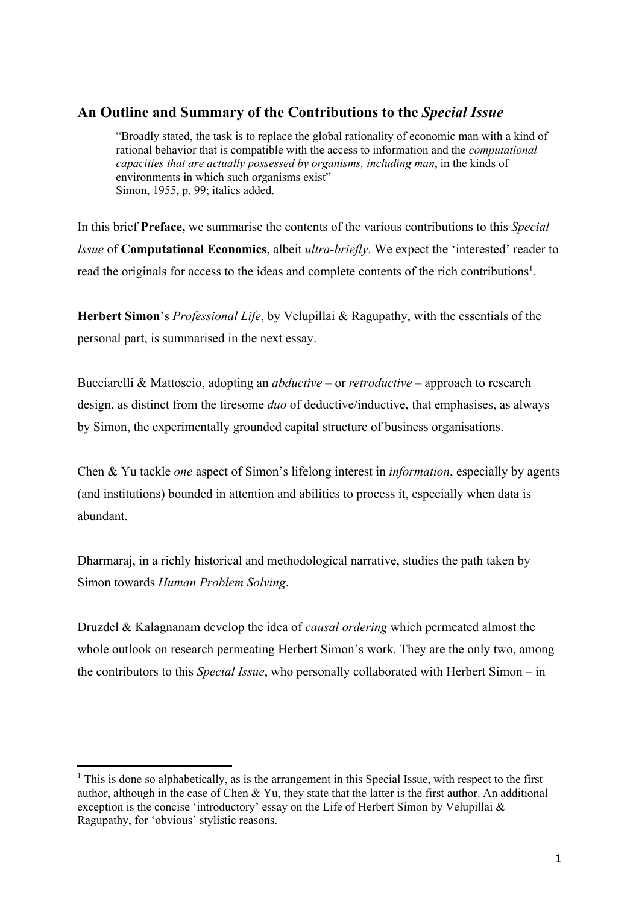## **An Outline and Summary of the Contributions to the** *Special Issue*

"Broadly stated, the task is to replace the global rationality of economic man with a kind of rational behavior that is compatible with the access to information and the *computational capacities that are actually possessed by organisms, including man*, in the kinds of environments in which such organisms exist" Simon, 1955, p. 99; italics added.

In this brief **Preface,** we summarise the contents of the various contributions to this *Special Issue* of **Computational Economics**, albeit *ultra-briefly*. We expect the 'interested' reader to read the originals for access to the ideas and complete contents of the rich contributions<sup>1</sup>.

**Herbert Simon**'s *Professional Life*, by Velupillai & Ragupathy, with the essentials of the personal part, is summarised in the next essay.

Bucciarelli & Mattoscio, adopting an *abductive* – or *retroductive* – approach to research design, as distinct from the tiresome *duo* of deductive/inductive, that emphasises, as always by Simon, the experimentally grounded capital structure of business organisations.

Chen & Yu tackle *one* aspect of Simon's lifelong interest in *information*, especially by agents (and institutions) bounded in attention and abilities to process it, especially when data is abundant.

Dharmaraj, in a richly historical and methodological narrative, studies the path taken by Simon towards *Human Problem Solving*.

Druzdel & Kalagnanam develop the idea of *causal ordering* which permeated almost the whole outlook on research permeating Herbert Simon's work. They are the only two, among the contributors to this *Special Issue*, who personally collaborated with Herbert Simon – in

 $1$  This is done so alphabetically, as is the arrangement in this Special Issue, with respect to the first author, although in the case of Chen & Yu, they state that the latter is the first author. An additional exception is the concise 'introductory' essay on the Life of Herbert Simon by Velupillai & Ragupathy, for 'obvious' stylistic reasons.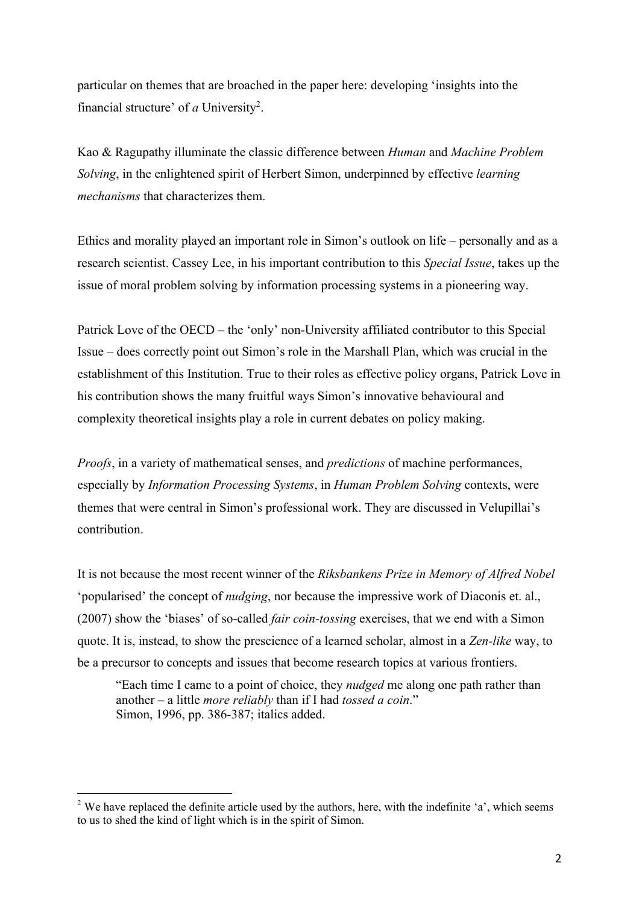particular on themes that are broached in the paper here: developing 'insights into the financial structure' of *a* University2.

Kao & Ragupathy illuminate the classic difference between *Human* and *Machine Problem Solving*, in the enlightened spirit of Herbert Simon, underpinned by effective *learning mechanisms* that characterizes them.

Ethics and morality played an important role in Simon's outlook on life – personally and as a research scientist. Cassey Lee, in his important contribution to this *Special Issue*, takes up the issue of moral problem solving by information processing systems in a pioneering way.

Patrick Love of the OECD – the 'only' non-University affiliated contributor to this Special Issue – does correctly point out Simon's role in the Marshall Plan, which was crucial in the establishment of this Institution. True to their roles as effective policy organs, Patrick Love in his contribution shows the many fruitful ways Simon's innovative behavioural and complexity theoretical insights play a role in current debates on policy making.

*Proofs*, in a variety of mathematical senses, and *predictions* of machine performances, especially by *Information Processing Systems*, in *Human Problem Solving* contexts, were themes that were central in Simon's professional work. They are discussed in Velupillai's contribution.

It is not because the most recent winner of the *Riksbankens Prize in Memory of Alfred Nobel*  'popularised' the concept of *nudging*, nor because the impressive work of Diaconis et. al., (2007) show the 'biases' of so-called *fair coin-tossing* exercises, that we end with a Simon quote. It is, instead, to show the prescience of a learned scholar, almost in a *Zen-like* way, to be a precursor to concepts and issues that become research topics at various frontiers.

"Each time I came to a point of choice, they *nudged* me along one path rather than another – a little *more reliably* than if I had *tossed a coin*." Simon, 1996, pp. 386-387; italics added.

<sup>&</sup>lt;sup>2</sup> We have replaced the definite article used by the authors, here, with the indefinite 'a', which seems to us to shed the kind of light which is in the spirit of Simon.